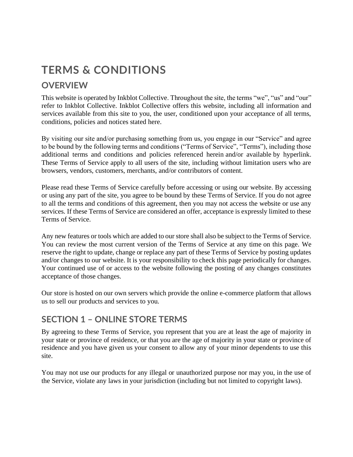# **TERMS & CONDITIONS OVERVIEW**

#### This website is operated by Inkblot Collective. Throughout the site, the terms "we", "us" and "our" refer to Inkblot Collective. Inkblot Collective offers this website, including all information and services available from this site to you, the user, conditioned upon your acceptance of all terms, conditions, policies and notices stated here.

By visiting our site and/or purchasing something from us, you engage in our "Service" and agree to be bound by the following terms and conditions ("Terms of Service", "Terms"), including those additional terms and conditions and policies referenced herein and/or available by hyperlink. These Terms of Service apply to all users of the site, including without limitation users who are browsers, vendors, customers, merchants, and/or contributors of content.

Please read these Terms of Service carefully before accessing or using our website. By accessing or using any part of the site, you agree to be bound by these Terms of Service. If you do not agree to all the terms and conditions of this agreement, then you may not access the website or use any services. If these Terms of Service are considered an offer, acceptance is expressly limited to these Terms of Service.

Any new features or tools which are added to our store shall also be subject to the Terms of Service. You can review the most current version of the Terms of Service at any time on this page. We reserve the right to update, change or replace any part of these Terms of Service by posting updates and/or changes to our website. It is your responsibility to check this page periodically for changes. Your continued use of or access to the website following the posting of any changes constitutes acceptance of those changes.

Our store is hosted on our own servers which provide the online e-commerce platform that allows us to sell our products and services to you.

## **SECTION 1 – ONLINE STORE TERMS**

By agreeing to these Terms of Service, you represent that you are at least the age of majority in your state or province of residence, or that you are the age of majority in your state or province of residence and you have given us your consent to allow any of your minor dependents to use this site.

You may not use our products for any illegal or unauthorized purpose nor may you, in the use of the Service, violate any laws in your jurisdiction (including but not limited to copyright laws).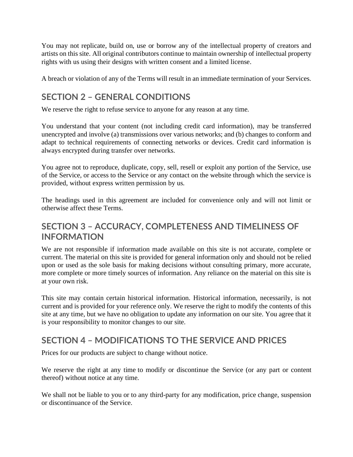You may not replicate, build on, use or borrow any of the intellectual property of creators and artists on this site. All original contributors continue to maintain ownership of intellectual property rights with us using their designs with written consent and a limited license.

A breach or violation of any of the Terms will result in an immediate termination of your Services.

## **SECTION 2 – GENERAL CONDITIONS**

We reserve the right to refuse service to anyone for any reason at any time.

You understand that your content (not including credit card information), may be transferred unencrypted and involve (a) transmissions over various networks; and (b) changes to conform and adapt to technical requirements of connecting networks or devices. Credit card information is always encrypted during transfer over networks.

You agree not to reproduce, duplicate, copy, sell, resell or exploit any portion of the Service, use of the Service, or access to the Service or any contact on the website through which the service is provided, without express written permission by us.

The headings used in this agreement are included for convenience only and will not limit or otherwise affect these Terms.

### **SECTION 3 – ACCURACY, COMPLETENESS AND TIMELINESS OF INFORMATION**

We are not responsible if information made available on this site is not accurate, complete or current. The material on this site is provided for general information only and should not be relied upon or used as the sole basis for making decisions without consulting primary, more accurate, more complete or more timely sources of information. Any reliance on the material on this site is at your own risk.

This site may contain certain historical information. Historical information, necessarily, is not current and is provided for your reference only. We reserve the right to modify the contents of this site at any time, but we have no obligation to update any information on our site. You agree that it is your responsibility to monitor changes to our site.

### **SECTION 4 – MODIFICATIONS TO THE SERVICE AND PRICES**

Prices for our products are subject to change without notice.

We reserve the right at any time to modify or discontinue the Service (or any part or content thereof) without notice at any time.

We shall not be liable to you or to any third-party for any modification, price change, suspension or discontinuance of the Service.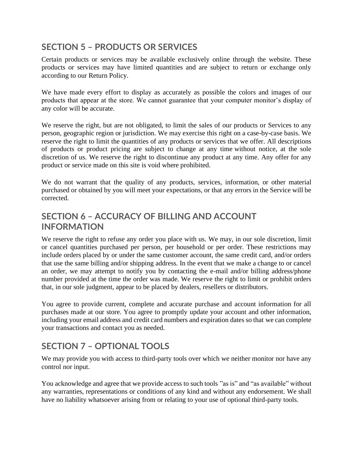### **SECTION 5 – PRODUCTS OR SERVICES**

Certain products or services may be available exclusively online through the website. These products or services may have limited quantities and are subject to return or exchange only according to our Return Policy.

We have made every effort to display as accurately as possible the colors and images of our products that appear at the store. We cannot guarantee that your computer monitor's display of any color will be accurate.

We reserve the right, but are not obligated, to limit the sales of our products or Services to any person, geographic region or jurisdiction. We may exercise this right on a case-by-case basis. We reserve the right to limit the quantities of any products or services that we offer. All descriptions of products or product pricing are subject to change at any time without notice, at the sole discretion of us. We reserve the right to discontinue any product at any time. Any offer for any product or service made on this site is void where prohibited.

We do not warrant that the quality of any products, services, information, or other material purchased or obtained by you will meet your expectations, or that any errors in the Service will be corrected.

### **SECTION 6 – ACCURACY OF BILLING AND ACCOUNT INFORMATION**

We reserve the right to refuse any order you place with us. We may, in our sole discretion, limit or cancel quantities purchased per person, per household or per order. These restrictions may include orders placed by or under the same customer account, the same credit card, and/or orders that use the same billing and/or shipping address. In the event that we make a change to or cancel an order, we may attempt to notify you by contacting the e-mail and/or billing address/phone number provided at the time the order was made. We reserve the right to limit or prohibit orders that, in our sole judgment, appear to be placed by dealers, resellers or distributors.

You agree to provide current, complete and accurate purchase and account information for all purchases made at our store. You agree to promptly update your account and other information, including your email address and credit card numbers and expiration dates so that we can complete your transactions and contact you as needed.

## **SECTION 7 – OPTIONAL TOOLS**

We may provide you with access to third-party tools over which we neither monitor nor have any control nor input.

You acknowledge and agree that we provide access to such tools "as is" and "as available" without any warranties, representations or conditions of any kind and without any endorsement. We shall have no liability whatsoever arising from or relating to your use of optional third-party tools.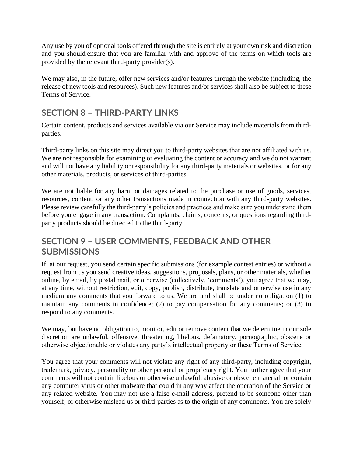Any use by you of optional tools offered through the site is entirely at your own risk and discretion and you should ensure that you are familiar with and approve of the terms on which tools are provided by the relevant third-party provider(s).

We may also, in the future, offer new services and/or features through the website (including, the release of new tools and resources). Such new features and/or services shall also be subject to these Terms of Service.

### **SECTION 8 – THIRD-PARTY LINKS**

Certain content, products and services available via our Service may include materials from thirdparties.

Third-party links on this site may direct you to third-party websites that are not affiliated with us. We are not responsible for examining or evaluating the content or accuracy and we do not warrant and will not have any liability or responsibility for any third-party materials or websites, or for any other materials, products, or services of third-parties.

We are not liable for any harm or damages related to the purchase or use of goods, services, resources, content, or any other transactions made in connection with any third-party websites. Please review carefully the third-party's policies and practices and make sure you understand them before you engage in any transaction. Complaints, claims, concerns, or questions regarding thirdparty products should be directed to the third-party.

### **SECTION 9 – USER COMMENTS, FEEDBACK AND OTHER SUBMISSIONS**

If, at our request, you send certain specific submissions (for example contest entries) or without a request from us you send creative ideas, suggestions, proposals, plans, or other materials, whether online, by email, by postal mail, or otherwise (collectively, 'comments'), you agree that we may, at any time, without restriction, edit, copy, publish, distribute, translate and otherwise use in any medium any comments that you forward to us. We are and shall be under no obligation (1) to maintain any comments in confidence; (2) to pay compensation for any comments; or (3) to respond to any comments.

We may, but have no obligation to, monitor, edit or remove content that we determine in our sole discretion are unlawful, offensive, threatening, libelous, defamatory, pornographic, obscene or otherwise objectionable or violates any party's intellectual property or these Terms of Service.

You agree that your comments will not violate any right of any third-party, including copyright, trademark, privacy, personality or other personal or proprietary right. You further agree that your comments will not contain libelous or otherwise unlawful, abusive or obscene material, or contain any computer virus or other malware that could in any way affect the operation of the Service or any related website. You may not use a false e-mail address, pretend to be someone other than yourself, or otherwise mislead us or third-parties as to the origin of any comments. You are solely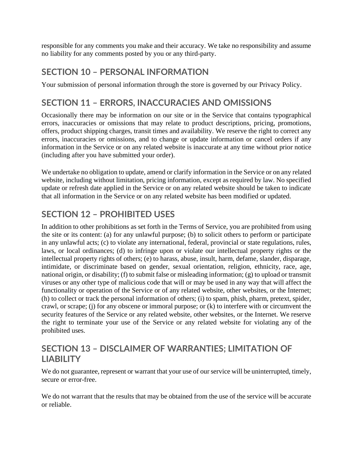responsible for any comments you make and their accuracy. We take no responsibility and assume no liability for any comments posted by you or any third-party.

## **SECTION 10 – PERSONAL INFORMATION**

Your submission of personal information through the store is governed by our Privacy Policy.

#### **SECTION 11 – ERRORS, INACCURACIES AND OMISSIONS**

Occasionally there may be information on our site or in the Service that contains typographical errors, inaccuracies or omissions that may relate to product descriptions, pricing, promotions, offers, product shipping charges, transit times and availability. We reserve the right to correct any errors, inaccuracies or omissions, and to change or update information or cancel orders if any information in the Service or on any related website is inaccurate at any time without prior notice (including after you have submitted your order).

We undertake no obligation to update, amend or clarify information in the Service or on any related website, including without limitation, pricing information, except as required by law. No specified update or refresh date applied in the Service or on any related website should be taken to indicate that all information in the Service or on any related website has been modified or updated.

## **SECTION 12 – PROHIBITED USES**

In addition to other prohibitions as set forth in the Terms of Service, you are prohibited from using the site or its content: (a) for any unlawful purpose; (b) to solicit others to perform or participate in any unlawful acts; (c) to violate any international, federal, provincial or state regulations, rules, laws, or local ordinances; (d) to infringe upon or violate our intellectual property rights or the intellectual property rights of others; (e) to harass, abuse, insult, harm, defame, slander, disparage, intimidate, or discriminate based on gender, sexual orientation, religion, ethnicity, race, age, national origin, or disability; (f) to submit false or misleading information; (g) to upload or transmit viruses or any other type of malicious code that will or may be used in any way that will affect the functionality or operation of the Service or of any related website, other websites, or the Internet; (h) to collect or track the personal information of others; (i) to spam, phish, pharm, pretext, spider, crawl, or scrape; (j) for any obscene or immoral purpose; or (k) to interfere with or circumvent the security features of the Service or any related website, other websites, or the Internet. We reserve the right to terminate your use of the Service or any related website for violating any of the prohibited uses.

### **SECTION 13 – DISCLAIMER OF WARRANTIES; LIMITATION OF LIABILITY**

We do not guarantee, represent or warrant that your use of our service will be uninterrupted, timely, secure or error-free.

We do not warrant that the results that may be obtained from the use of the service will be accurate or reliable.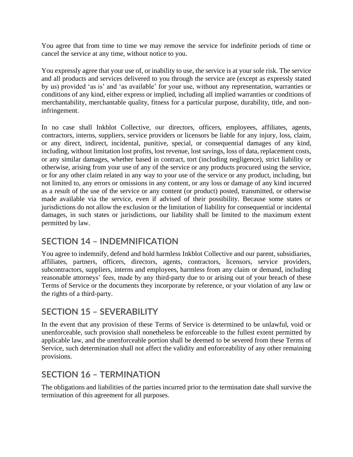You agree that from time to time we may remove the service for indefinite periods of time or cancel the service at any time, without notice to you.

You expressly agree that your use of, or inability to use, the service is at your sole risk. The service and all products and services delivered to you through the service are (except as expressly stated by us) provided 'as is' and 'as available' for your use, without any representation, warranties or conditions of any kind, either express or implied, including all implied warranties or conditions of merchantability, merchantable quality, fitness for a particular purpose, durability, title, and noninfringement.

In no case shall Inkblot Collective, our directors, officers, employees, affiliates, agents, contractors, interns, suppliers, service providers or licensors be liable for any injury, loss, claim, or any direct, indirect, incidental, punitive, special, or consequential damages of any kind, including, without limitation lost profits, lost revenue, lost savings, loss of data, replacement costs, or any similar damages, whether based in contract, tort (including negligence), strict liability or otherwise, arising from your use of any of the service or any products procured using the service, or for any other claim related in any way to your use of the service or any product, including, but not limited to, any errors or omissions in any content, or any loss or damage of any kind incurred as a result of the use of the service or any content (or product) posted, transmitted, or otherwise made available via the service, even if advised of their possibility. Because some states or jurisdictions do not allow the exclusion or the limitation of liability for consequential or incidental damages, in such states or jurisdictions, our liability shall be limited to the maximum extent permitted by law.

### **SECTION 14 – INDEMNIFICATION**

You agree to indemnify, defend and hold harmless Inkblot Collective and our parent, subsidiaries, affiliates, partners, officers, directors, agents, contractors, licensors, service providers, subcontractors, suppliers, interns and employees, harmless from any claim or demand, including reasonable attorneys' fees, made by any third-party due to or arising out of your breach of these Terms of Service or the documents they incorporate by reference, or your violation of any law or the rights of a third-party.

### **SECTION 15 – SEVERABILITY**

In the event that any provision of these Terms of Service is determined to be unlawful, void or unenforceable, such provision shall nonetheless be enforceable to the fullest extent permitted by applicable law, and the unenforceable portion shall be deemed to be severed from these Terms of Service, such determination shall not affect the validity and enforceability of any other remaining provisions.

### **SECTION 16 – TERMINATION**

The obligations and liabilities of the parties incurred prior to the termination date shall survive the termination of this agreement for all purposes.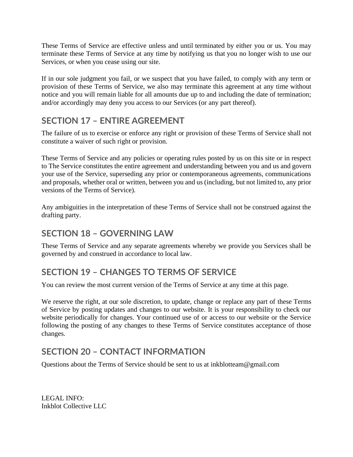These Terms of Service are effective unless and until terminated by either you or us. You may terminate these Terms of Service at any time by notifying us that you no longer wish to use our Services, or when you cease using our site.

If in our sole judgment you fail, or we suspect that you have failed, to comply with any term or provision of these Terms of Service, we also may terminate this agreement at any time without notice and you will remain liable for all amounts due up to and including the date of termination; and/or accordingly may deny you access to our Services (or any part thereof).

## **SECTION 17 – ENTIRE AGREEMENT**

The failure of us to exercise or enforce any right or provision of these Terms of Service shall not constitute a waiver of such right or provision.

These Terms of Service and any policies or operating rules posted by us on this site or in respect to The Service constitutes the entire agreement and understanding between you and us and govern your use of the Service, superseding any prior or contemporaneous agreements, communications and proposals, whether oral or written, between you and us (including, but not limited to, any prior versions of the Terms of Service).

Any ambiguities in the interpretation of these Terms of Service shall not be construed against the drafting party.

### **SECTION 18 – GOVERNING LAW**

These Terms of Service and any separate agreements whereby we provide you Services shall be governed by and construed in accordance to local law.

### **SECTION 19 – CHANGES TO TERMS OF SERVICE**

You can review the most current version of the Terms of Service at any time at this page.

We reserve the right, at our sole discretion, to update, change or replace any part of these Terms of Service by posting updates and changes to our website. It is your responsibility to check our website periodically for changes. Your continued use of or access to our website or the Service following the posting of any changes to these Terms of Service constitutes acceptance of those changes.

### **SECTION 20 – CONTACT INFORMATION**

Questions about the Terms of Service should be sent to us at inkblotteam@gmail.com

LEGAL INFO: Inkblot Collective LLC